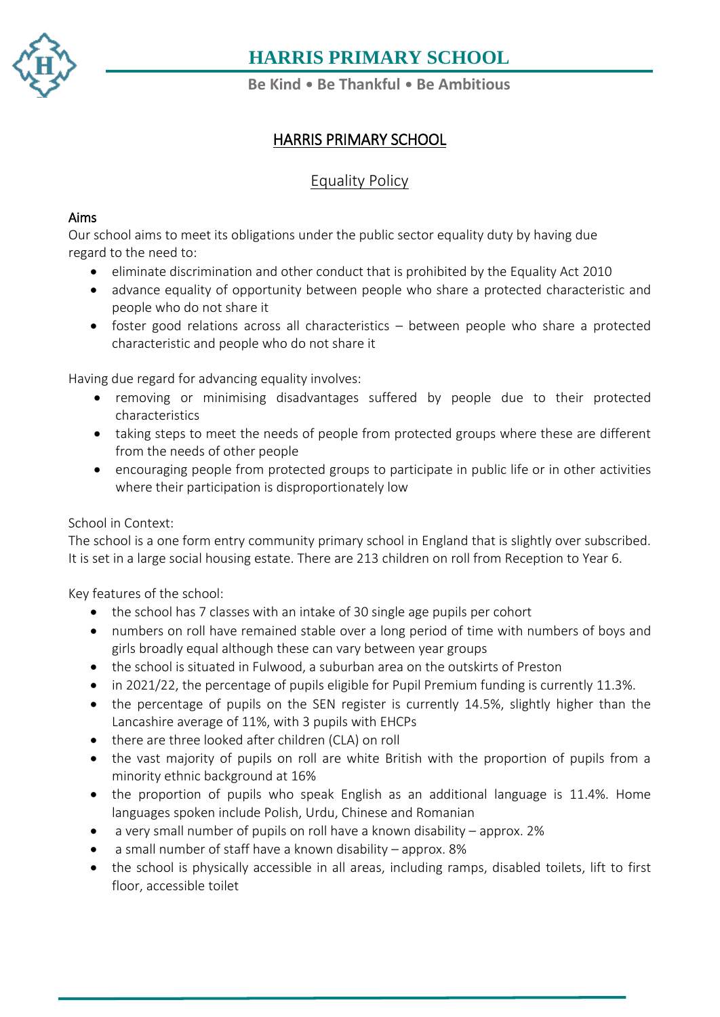

**Be Kind** • **Be Thankful** • **Be Ambitious**

### HARRIS PRIMARY SCHOOL

### Equality Policy

#### Aims

Our school aims to meet its obligations under the public sector equality duty by having due regard to the need to:

- eliminate discrimination and other conduct that is prohibited by the Equality Act 2010
- advance equality of opportunity between people who share a protected characteristic and people who do not share it
- foster good relations across all characteristics between people who share a protected characteristic and people who do not share it

Having due regard for advancing equality involves:

- removing or minimising disadvantages suffered by people due to their protected characteristics
- taking steps to meet the needs of people from protected groups where these are different from the needs of other people
- encouraging people from protected groups to participate in public life or in other activities where their participation is disproportionately low

#### School in Context:

The school is a one form entry community primary school in England that is slightly over subscribed. It is set in a large social housing estate. There are 213 children on roll from Reception to Year 6.

Key features of the school:

- the school has 7 classes with an intake of 30 single age pupils per cohort
- numbers on roll have remained stable over a long period of time with numbers of boys and girls broadly equal although these can vary between year groups
- the school is situated in Fulwood, a suburban area on the outskirts of Preston
- in 2021/22, the percentage of pupils eligible for Pupil Premium funding is currently 11.3%.
- the percentage of pupils on the SEN register is currently 14.5%, slightly higher than the Lancashire average of 11%, with 3 pupils with EHCPs
- there are three looked after children (CLA) on roll
- the vast majority of pupils on roll are white British with the proportion of pupils from a minority ethnic background at 16%
- the proportion of pupils who speak English as an additional language is 11.4%. Home languages spoken include Polish, Urdu, Chinese and Romanian
- a very small number of pupils on roll have a known disability approx. 2%
- a small number of staff have a known disability approx. 8%
- the school is physically accessible in all areas, including ramps, disabled toilets, lift to first floor, accessible toilet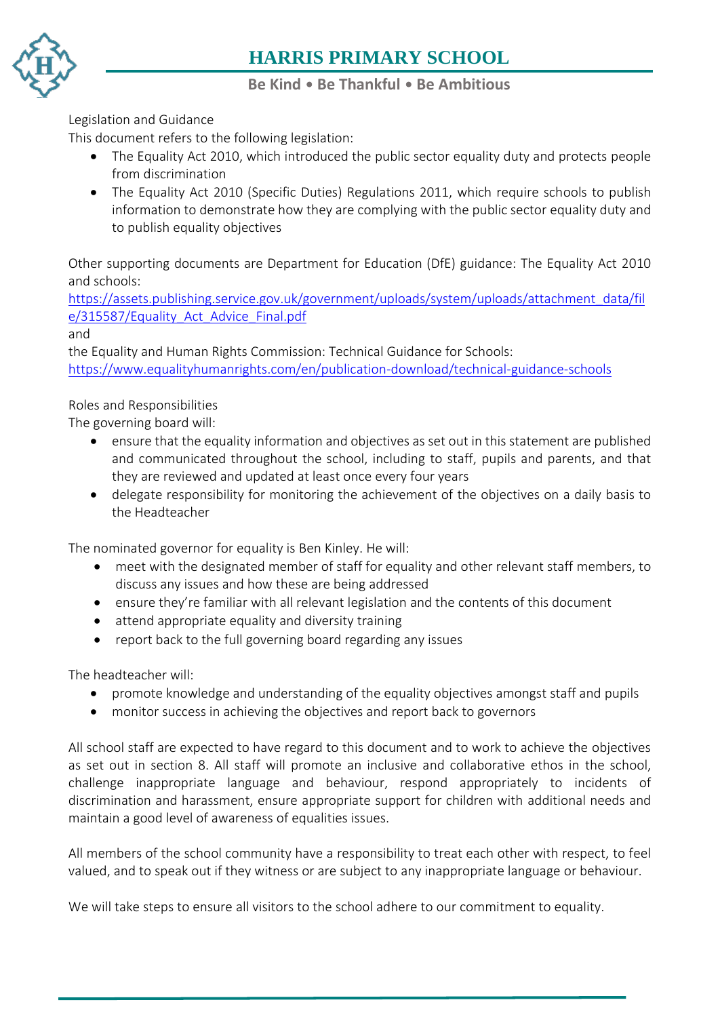

#### **Be Kind** • **Be Thankful** • **Be Ambitious**

[Legi](https://www.harris.lancs.sch.uk/)slation and Guidance

This document refers to the following legislation:

- The Equality Act 2010, which introduced the public sector equality duty and protects people from discrimination
- The Equality Act 2010 (Specific Duties) Regulations 2011, which require schools to publish information to demonstrate how they are complying with the public sector equality duty and to publish equality objectives

Other supporting documents are Department for Education (DfE) guidance: The Equality Act 2010 and schools:

[https://assets.publishing.service.gov.uk/government/uploads/system/uploads/attachment\\_data/fil](https://assets.publishing.service.gov.uk/government/uploads/system/uploads/attachment_data/file/315587/Equality_Act_Advice_Final.pdf) [e/315587/Equality\\_Act\\_Advice\\_Final.pdf](https://assets.publishing.service.gov.uk/government/uploads/system/uploads/attachment_data/file/315587/Equality_Act_Advice_Final.pdf)

and

the Equality and Human Rights Commission: Technical Guidance for Schools: <https://www.equalityhumanrights.com/en/publication-download/technical-guidance-schools>

#### Roles and Responsibilities

The governing board will:

- ensure that the equality information and objectives as set out in this statement are published and communicated throughout the school, including to staff, pupils and parents, and that they are reviewed and updated at least once every four years
- delegate responsibility for monitoring the achievement of the objectives on a daily basis to the Headteacher

The nominated governor for equality is Ben Kinley. He will:

- meet with the designated member of staff for equality and other relevant staff members, to discuss any issues and how these are being addressed
- ensure they're familiar with all relevant legislation and the contents of this document
- attend appropriate equality and diversity training
- report back to the full governing board regarding any issues

The headteacher will:

- promote knowledge and understanding of the equality objectives amongst staff and pupils
- monitor success in achieving the objectives and report back to governors

All school staff are expected to have regard to this document and to work to achieve the objectives as set out in section 8. All staff will promote an inclusive and collaborative ethos in the school, challenge inappropriate language and behaviour, respond appropriately to incidents of discrimination and harassment, ensure appropriate support for children with additional needs and maintain a good level of awareness of equalities issues.

All members of the school community have a responsibility to treat each other with respect, to feel valued, and to speak out if they witness or are subject to any inappropriate language or behaviour.

We will take steps to ensure all visitors to the school adhere to our commitment to equality.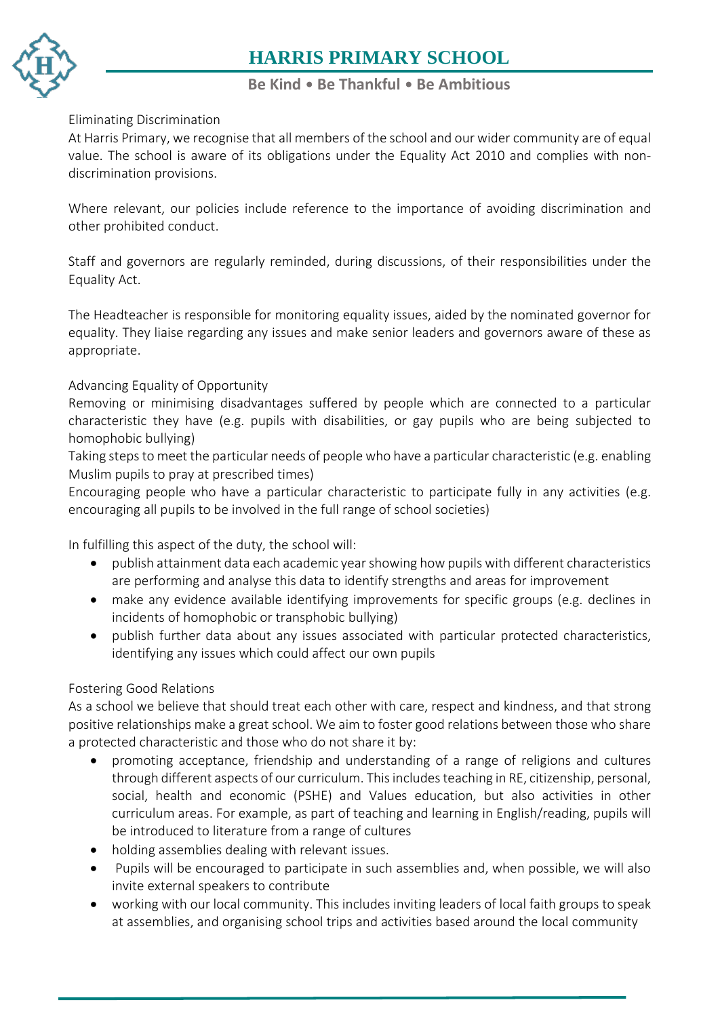

#### **Be Kind** • **Be Thankful** • **Be Ambitious**

#### [Elim](https://www.harris.lancs.sch.uk/)inating Discrimination

At Harris Primary, we recognise that all members of the school and our wider community are of equal value. The school is aware of its obligations under the Equality Act 2010 and complies with non[disc](https://www.harris.lancs.sch.uk/contact-details/)rimination provisions.

Where relevant, our policies include reference to the importance of avoiding discrimination and other prohibited conduct.

Staff and governors are regularly reminded, during discussions, of their responsibilities under the Equality Act.

The Headteacher is responsible for monitoring equality issues, aided by the nominated governor for equality. They liaise regarding any issues and make senior leaders and governors aware of these as appropriate.

#### Advancing Equality of Opportunity

Removing or minimising disadvantages suffered by people which are connected to a particular characteristic they have (e.g. pupils with disabilities, or gay pupils who are being subjected to homophobic bullying)

Taking steps to meet the particular needs of people who have a particular characteristic (e.g. enabling Muslim pupils to pray at prescribed times)

Encouraging people who have a particular characteristic to participate fully in any activities (e.g. encouraging all pupils to be involved in the full range of school societies)

In fulfilling this aspect of the duty, the school will:

- publish attainment data each academic year showing how pupils with different characteristics are performing and analyse this data to identify strengths and areas for improvement
- make any evidence available identifying improvements for specific groups (e.g. declines in incidents of homophobic or transphobic bullying)
- publish further data about any issues associated with particular protected characteristics, identifying any issues which could affect our own pupils

#### Fostering Good Relations

As a school we believe that should treat each other with care, respect and kindness, and that strong positive relationships make a great school. We aim to foster good relations between those who share a protected characteristic and those who do not share it by:

- promoting acceptance, friendship and understanding of a range of religions and cultures through different aspects of our curriculum. This includes teaching in RE, citizenship, personal, social, health and economic (PSHE) and Values education, but also activities in other curriculum areas. For example, as part of teaching and learning in English/reading, pupils will be introduced to literature from a range of cultures
- holding assemblies dealing with relevant issues.
- Pupils will be encouraged to participate in such assemblies and, when possible, we will also invite external speakers to contribute
- working with our local community. This includes inviting leaders of local faith groups to speak at assemblies, and organising school trips and activities based around the local community